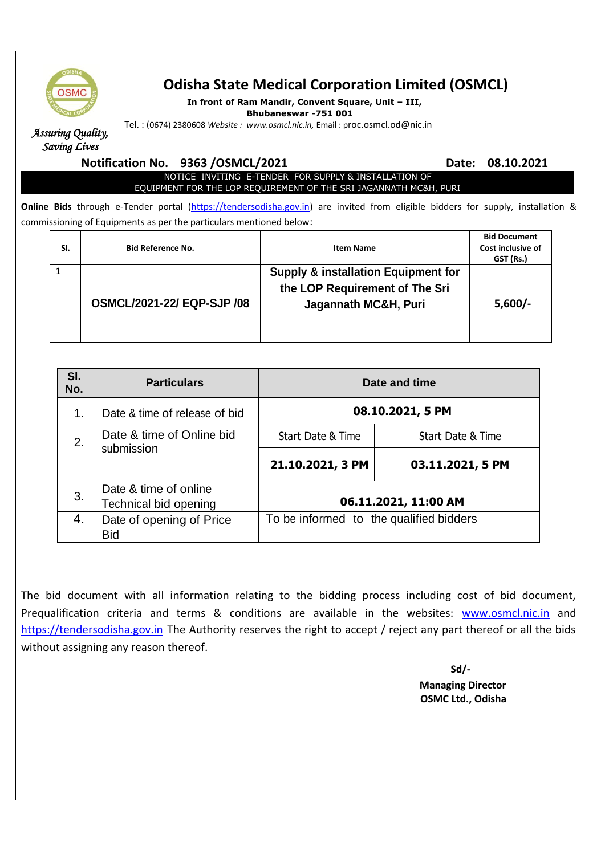

## **Odisha State Medical Corporation Limited (OSMCL)**

**In front of Ram Mandir, Convent Square, Unit – III,** 

**Bhubaneswar -751 001**

Tel. : (0674) 2380608 *Website : www.osmcl.nic.in,* Email : proc.osmcl.od@nic.in

*Assuring Quality, Saving Lives* 

## **Notification No. 9363 /OSMCL/2021 Date: 08.10.2021**

NOTICE INVITING E-TENDER FOR SUPPLY & INSTALLATION OF EQUIPMENT FOR THE LOP REQUIREMENT OF THE SRI JAGANNATH MC&H, PURI

**Online Bids** through e-Tender portal [\(https://tendersodisha.gov.in\)](https://tendersodisha.gov.in/) are invited from eligible bidders for supply, installation & commissioning of Equipments as per the particulars mentioned below:

| SI. | <b>Bid Reference No.</b>         | Item Name                                                                                                | <b>Bid Document</b><br>Cost inclusive of<br>GST (Rs.) |
|-----|----------------------------------|----------------------------------------------------------------------------------------------------------|-------------------------------------------------------|
|     | <b>OSMCL/2021-22/ EQP-SJP/08</b> | <b>Supply &amp; installation Equipment for</b><br>the LOP Requirement of The Sri<br>Jagannath MC&H, Puri | $5,600/-$                                             |

| SI.<br>No. | <b>Particulars</b>                             | Date and time                           |                   |
|------------|------------------------------------------------|-----------------------------------------|-------------------|
| 1.         | Date & time of release of bid                  | 08.10.2021, 5 PM                        |                   |
| 2.         | Date & time of Online bid<br>submission        | Start Date & Time                       | Start Date & Time |
|            |                                                | 21.10.2021, 3 PM                        | 03.11.2021, 5 PM  |
| 3.         | Date & time of online<br>Technical bid opening | 06.11.2021, 11:00 AM                    |                   |
| 4.         | Date of opening of Price<br><b>Bid</b>         | To be informed to the qualified bidders |                   |

The bid document with all information relating to the bidding process including cost of bid document, Prequalification criteria and terms & conditions are available in the websites: [www.osmcl.nic.in](http://www.osmcl.nic.in/) and [https://tendersodisha.gov.in](https://tendersodisha.gov.in/) The Authority reserves the right to accept / reject any part thereof or all the bids without assigning any reason thereof.

 **Sd/- Managing Director OSMC Ltd., Odisha**